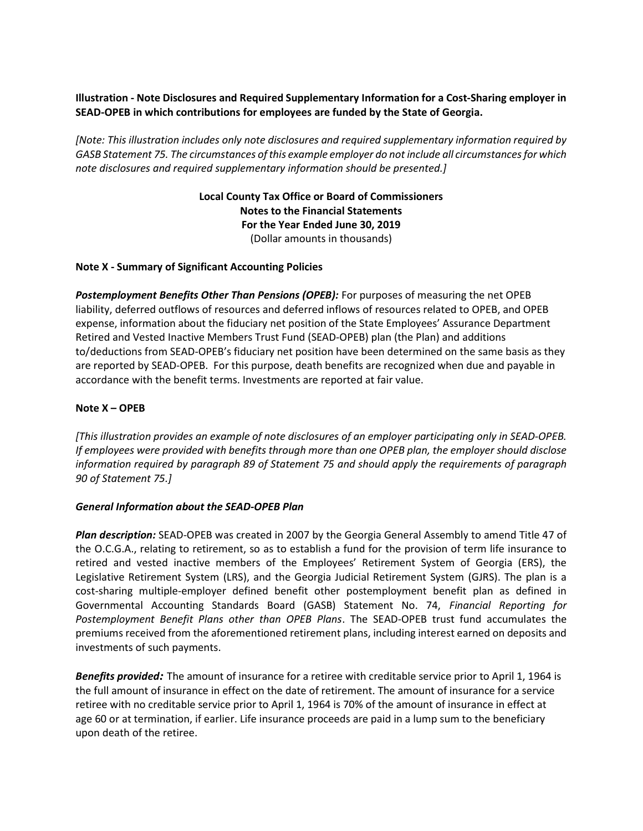# Illustration - Note Disclosures and Required Supplementary Information for a Cost-Sharing employer in SEAD-OPEB in which contributions for employees are funded by the State of Georgia.

[Note: This illustration includes only note disclosures and required supplementary information required by GASB Statement 75. The circumstances of this example employer do not include all circumstances for which note disclosures and required supplementary information should be presented.]

> Local County Tax Office or Board of Commissioners Notes to the Financial Statements For the Year Ended June 30, 2019 (Dollar amounts in thousands)

## Note X - Summary of Significant Accounting Policies

**Postemployment Benefits Other Than Pensions (OPEB):** For purposes of measuring the net OPEB liability, deferred outflows of resources and deferred inflows of resources related to OPEB, and OPEB expense, information about the fiduciary net position of the State Employees' Assurance Department Retired and Vested Inactive Members Trust Fund (SEAD-OPEB) plan (the Plan) and additions to/deductions from SEAD-OPEB's fiduciary net position have been determined on the same basis as they are reported by SEAD-OPEB. For this purpose, death benefits are recognized when due and payable in accordance with the benefit terms. Investments are reported at fair value.

### Note X – OPEB

[This illustration provides an example of note disclosures of an employer participating only in SEAD-OPEB. If employees were provided with benefits through more than one OPEB plan, the employer should disclose information required by paragraph 89 of Statement 75 and should apply the requirements of paragraph 90 of Statement 75.]

#### General Information about the SEAD-OPEB Plan

Plan description: SEAD-OPEB was created in 2007 by the Georgia General Assembly to amend Title 47 of the O.C.G.A., relating to retirement, so as to establish a fund for the provision of term life insurance to retired and vested inactive members of the Employees' Retirement System of Georgia (ERS), the Legislative Retirement System (LRS), and the Georgia Judicial Retirement System (GJRS). The plan is a cost-sharing multiple-employer defined benefit other postemployment benefit plan as defined in Governmental Accounting Standards Board (GASB) Statement No. 74, Financial Reporting for Postemployment Benefit Plans other than OPEB Plans. The SEAD-OPEB trust fund accumulates the premiums received from the aforementioned retirement plans, including interest earned on deposits and investments of such payments.

Benefits provided: The amount of insurance for a retiree with creditable service prior to April 1, 1964 is the full amount of insurance in effect on the date of retirement. The amount of insurance for a service retiree with no creditable service prior to April 1, 1964 is 70% of the amount of insurance in effect at age 60 or at termination, if earlier. Life insurance proceeds are paid in a lump sum to the beneficiary upon death of the retiree.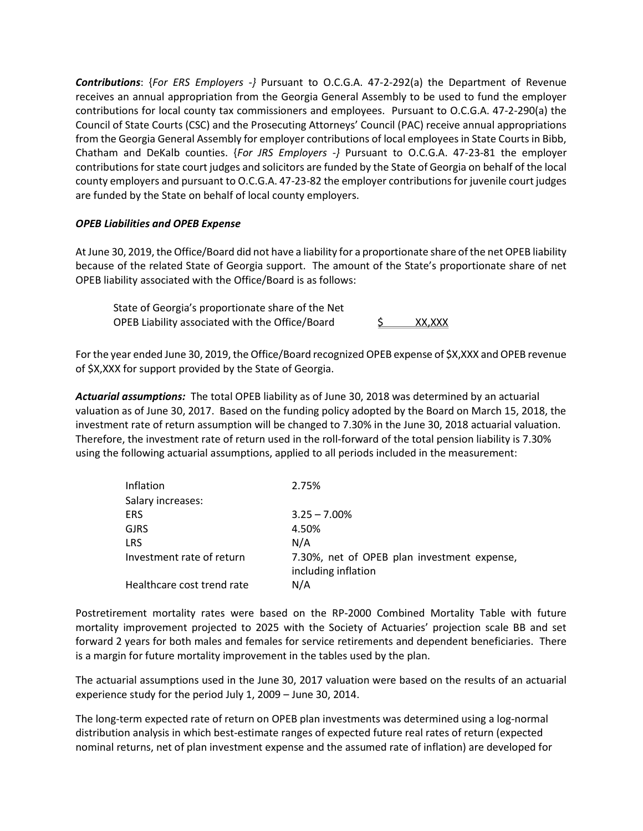Contributions: {For ERS Employers -} Pursuant to O.C.G.A. 47-2-292(a) the Department of Revenue receives an annual appropriation from the Georgia General Assembly to be used to fund the employer contributions for local county tax commissioners and employees. Pursuant to O.C.G.A. 47-2-290(a) the Council of State Courts (CSC) and the Prosecuting Attorneys' Council (PAC) receive annual appropriations from the Georgia General Assembly for employer contributions of local employees in State Courts in Bibb, Chatham and DeKalb counties. {For JRS Employers  $-$ } Pursuant to O.C.G.A. 47-23-81 the employer contributions for state court judges and solicitors are funded by the State of Georgia on behalf of the local county employers and pursuant to O.C.G.A. 47-23-82 the employer contributions for juvenile court judges are funded by the State on behalf of local county employers.

## OPEB Liabilities and OPEB Expense

At June 30, 2019, the Office/Board did not have a liability for a proportionate share of the net OPEB liability because of the related State of Georgia support. The amount of the State's proportionate share of net OPEB liability associated with the Office/Board is as follows:

 State of Georgia's proportionate share of the Net OPEB Liability associated with the Office/Board  $\frac{\zeta}{\zeta}$  XX,XXX

For the year ended June 30, 2019, the Office/Board recognized OPEB expense of \$X,XXX and OPEB revenue of \$X,XXX for support provided by the State of Georgia.

Actuarial assumptions: The total OPEB liability as of June 30, 2018 was determined by an actuarial valuation as of June 30, 2017. Based on the funding policy adopted by the Board on March 15, 2018, the investment rate of return assumption will be changed to 7.30% in the June 30, 2018 actuarial valuation. Therefore, the investment rate of return used in the roll-forward of the total pension liability is 7.30% using the following actuarial assumptions, applied to all periods included in the measurement:

| Inflation                  | 2.75%                                                              |
|----------------------------|--------------------------------------------------------------------|
| Salary increases:          |                                                                    |
| <b>ERS</b>                 | $3.25 - 7.00\%$                                                    |
| <b>GJRS</b>                | 4.50%                                                              |
| <b>LRS</b>                 | N/A                                                                |
| Investment rate of return  | 7.30%, net of OPEB plan investment expense,<br>including inflation |
| Healthcare cost trend rate | N/A                                                                |

Postretirement mortality rates were based on the RP-2000 Combined Mortality Table with future mortality improvement projected to 2025 with the Society of Actuaries' projection scale BB and set forward 2 years for both males and females for service retirements and dependent beneficiaries. There is a margin for future mortality improvement in the tables used by the plan.

The actuarial assumptions used in the June 30, 2017 valuation were based on the results of an actuarial experience study for the period July 1, 2009 – June 30, 2014.

The long-term expected rate of return on OPEB plan investments was determined using a log-normal distribution analysis in which best-estimate ranges of expected future real rates of return (expected nominal returns, net of plan investment expense and the assumed rate of inflation) are developed for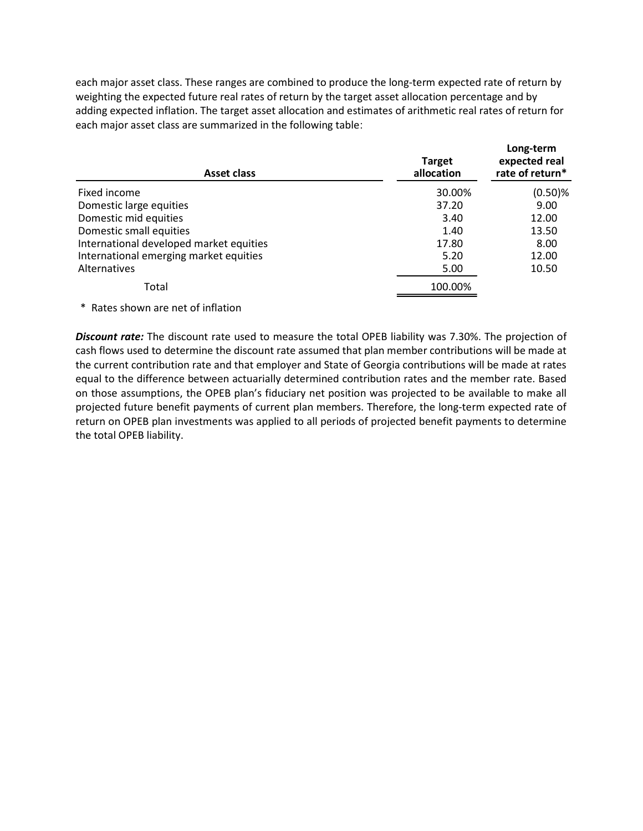| each major asset class. These ranges are combined to produce the long-term expected rate of return by<br>weighting the expected future real rates of return by the target asset allocation percentage and by<br>adding expected inflation. The target asset allocation and estimates of arithmetic real rates of return for |               |                 |
|-----------------------------------------------------------------------------------------------------------------------------------------------------------------------------------------------------------------------------------------------------------------------------------------------------------------------------|---------------|-----------------|
|                                                                                                                                                                                                                                                                                                                             |               |                 |
|                                                                                                                                                                                                                                                                                                                             |               |                 |
|                                                                                                                                                                                                                                                                                                                             |               |                 |
|                                                                                                                                                                                                                                                                                                                             |               |                 |
|                                                                                                                                                                                                                                                                                                                             |               |                 |
|                                                                                                                                                                                                                                                                                                                             |               |                 |
|                                                                                                                                                                                                                                                                                                                             |               |                 |
|                                                                                                                                                                                                                                                                                                                             |               |                 |
|                                                                                                                                                                                                                                                                                                                             |               |                 |
|                                                                                                                                                                                                                                                                                                                             |               |                 |
| each major asset class are summarized in the following table:                                                                                                                                                                                                                                                               |               |                 |
|                                                                                                                                                                                                                                                                                                                             |               | Long-term       |
|                                                                                                                                                                                                                                                                                                                             |               |                 |
|                                                                                                                                                                                                                                                                                                                             | <b>Target</b> | expected real   |
| <b>Asset class</b>                                                                                                                                                                                                                                                                                                          | allocation    | rate of return* |
| Fixed income                                                                                                                                                                                                                                                                                                                | 30.00%        | $(0.50)$ %      |
| Domestic large equities                                                                                                                                                                                                                                                                                                     | 37.20         | 9.00            |
| Domestic mid equities                                                                                                                                                                                                                                                                                                       | 3.40          | 12.00           |
| Domestic small equities                                                                                                                                                                                                                                                                                                     | 1.40          | 13.50           |
| International developed market equities                                                                                                                                                                                                                                                                                     | 17.80         | 8.00            |
| International emerging market equities                                                                                                                                                                                                                                                                                      | 5.20          | 12.00           |
| Alternatives                                                                                                                                                                                                                                                                                                                | 5.00          | 10.50           |
|                                                                                                                                                                                                                                                                                                                             |               |                 |
|                                                                                                                                                                                                                                                                                                                             | 100.00%       |                 |
| Total                                                                                                                                                                                                                                                                                                                       |               |                 |
| * Rates shown are net of inflation                                                                                                                                                                                                                                                                                          |               |                 |
|                                                                                                                                                                                                                                                                                                                             |               |                 |
| Discount rate: The discount rate used to measure the total OPEB liability was 7.30%. The projection of                                                                                                                                                                                                                      |               |                 |

**Discount rate:** The discount rate used to measure the total OPEB liability was 7.30%. The projection of cash flows used to determine the discount rate assumed that plan member contributions will be made at the current contribution rate and that employer and State of Georgia contributions will be made at rates equal to the difference between actuarially determined contribution rates and the member rate. Based on those assumptions, the OPEB plan's fiduciary net position was projected to be available to make all projected future benefit payments of current plan members. Therefore, the long-term expected rate of return on OPEB plan investments was applied to all periods of projected benefit payments to determine the total OPEB liability.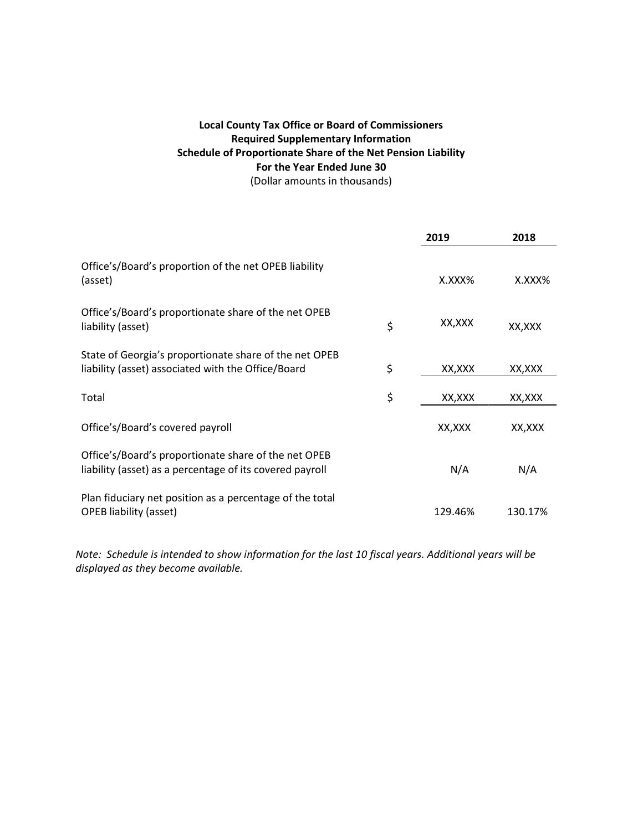# Local County Tax Office or Board of Commissioners Required Supplementary Information Schedule of Proportionate Share of the Net Pension Liability For the Year Ended June 30 (Dollar amounts in thousands)

|                                                                                                                  | 2019          | 2018      |
|------------------------------------------------------------------------------------------------------------------|---------------|-----------|
| Office's/Board's proportion of the net OPEB liability<br>(asset)                                                 | X.XXX%        | $X.XXX\%$ |
| Office's/Board's proportionate share of the net OPEB<br>liability (asset)                                        | \$<br>XX,XXX  | XX, XXX   |
| State of Georgia's proportionate share of the net OPEB<br>liability (asset) associated with the Office/Board     | \$<br>XX,XXX  | XX,XXX    |
| Total                                                                                                            | \$<br>XX, XXX | XX, XXX   |
| Office's/Board's covered payroll                                                                                 | XX, XXX       | XX,XXX    |
| Office's/Board's proportionate share of the net OPEB<br>liability (asset) as a percentage of its covered payroll | N/A           | N/A       |
| Plan fiduciary net position as a percentage of the total<br><b>OPEB liability (asset)</b>                        | 129.46%       | 130.17%   |

Note: Schedule is intended to show information for the last 10 fiscal years. Additional years will be displayed as they become available.